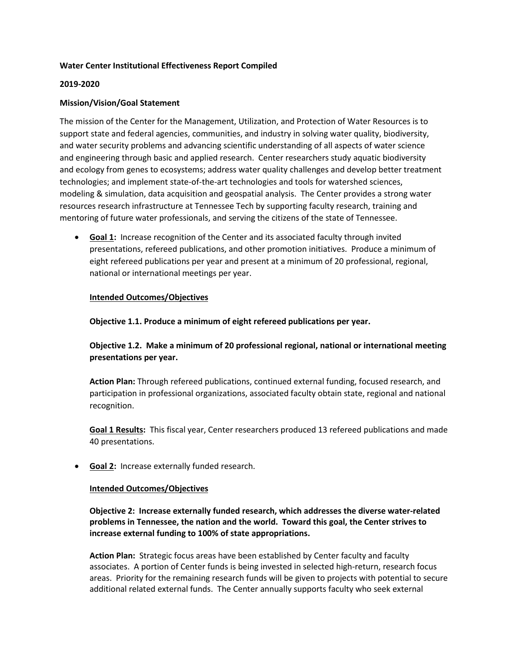## **Water Center Institutional Effectiveness Report Compiled**

#### **2019-2020**

## **Mission/Vision/Goal Statement**

The mission of the Center for the Management, Utilization, and Protection of Water Resources is to support state and federal agencies, communities, and industry in solving water quality, biodiversity, and water security problems and advancing scientific understanding of all aspects of water science and engineering through basic and applied research. Center researchers study aquatic biodiversity and ecology from genes to ecosystems; address water quality challenges and develop better treatment technologies; and implement state-of-the-art technologies and tools for watershed sciences, modeling & simulation, data acquisition and geospatial analysis. The Center provides a strong water resources research infrastructure at Tennessee Tech by supporting faculty research, training and mentoring of future water professionals, and serving the citizens of the state of Tennessee.

• **Goal 1:** Increase recognition of the Center and its associated faculty through invited presentations, refereed publications, and other promotion initiatives. Produce a minimum of eight refereed publications per year and present at a minimum of 20 professional, regional, national or international meetings per year.

### **Intended Outcomes/Objectives**

**Objective 1.1. Produce a minimum of eight refereed publications per year.**

**Objective 1.2. Make a minimum of 20 professional regional, national or international meeting presentations per year.**

**Action Plan:** Through refereed publications, continued external funding, focused research, and participation in professional organizations, associated faculty obtain state, regional and national recognition.

**Goal 1 Results:** This fiscal year, Center researchers produced 13 refereed publications and made 40 presentations.

• **Goal 2:** Increase externally funded research.

#### **Intended Outcomes/Objectives**

**Objective 2: Increase externally funded research, which addresses the diverse water-related problems in Tennessee, the nation and the world. Toward this goal, the Center strives to increase external funding to 100% of state appropriations.** 

**Action Plan:** Strategic focus areas have been established by Center faculty and faculty associates. A portion of Center funds is being invested in selected high-return, research focus areas. Priority for the remaining research funds will be given to projects with potential to secure additional related external funds. The Center annually supports faculty who seek external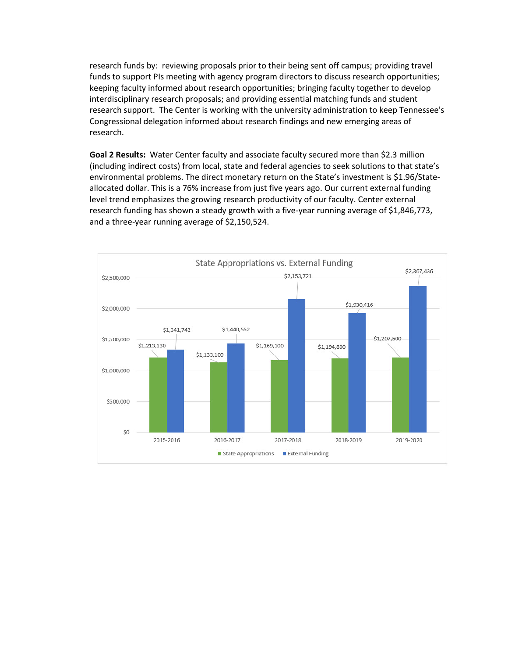research funds by: reviewing proposals prior to their being sent off campus; providing travel funds to support PIs meeting with agency program directors to discuss research opportunities; keeping faculty informed about research opportunities; bringing faculty together to develop interdisciplinary research proposals; and providing essential matching funds and student research support. The Center is working with the university administration to keep Tennessee's Congressional delegation informed about research findings and new emerging areas of research.

**Goal 2 Results:** Water Center faculty and associate faculty secured more than \$2.3 million (including indirect costs) from local, state and federal agencies to seek solutions to that state's environmental problems. The direct monetary return on the State's investment is \$1.96/Stateallocated dollar. This is a 76% increase from just five years ago. Our current external funding level trend emphasizes the growing research productivity of our faculty. Center external research funding has shown a steady growth with a five-year running average of \$1,846,773, and a three-year running average of \$2,150,524.

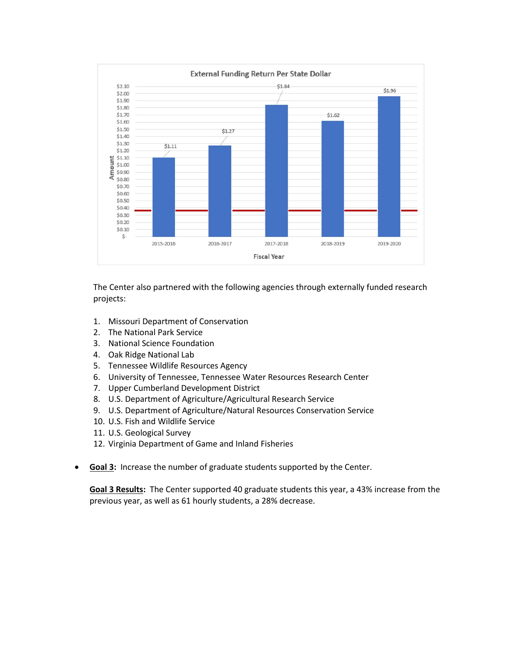

The Center also partnered with the following agencies through externally funded research projects:

- 1. Missouri Department of Conservation
- 2. The National Park Service
- 3. National Science Foundation
- 4. Oak Ridge National Lab
- 5. Tennessee Wildlife Resources Agency
- 6. University of Tennessee, Tennessee Water Resources Research Center
- 7. Upper Cumberland Development District
- 8. U.S. Department of Agriculture/Agricultural Research Service
- 9. U.S. Department of Agriculture/Natural Resources Conservation Service
- 10. U.S. Fish and Wildlife Service
- 11. U.S. Geological Survey
- 12. Virginia Department of Game and Inland Fisheries
- **Goal 3:** Increase the number of graduate students supported by the Center.

**Goal 3 Results:** The Center supported 40 graduate students this year, a 43% increase from the previous year, as well as 61 hourly students, a 28% decrease.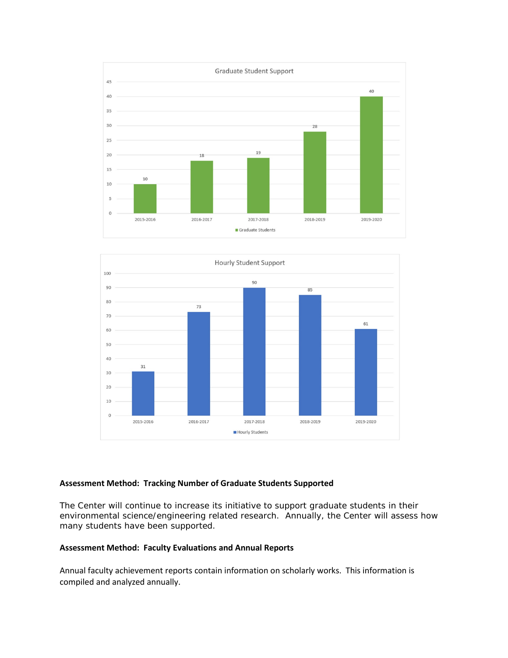



## **Assessment Method: Tracking Number of Graduate Students Supported**

The Center will continue to increase its initiative to support graduate students in their environmental science/engineering related research. Annually, the Center will assess how many students have been supported.

## **Assessment Method: Faculty Evaluations and Annual Reports**

Annual faculty achievement reports contain information on scholarly works. This information is compiled and analyzed annually.